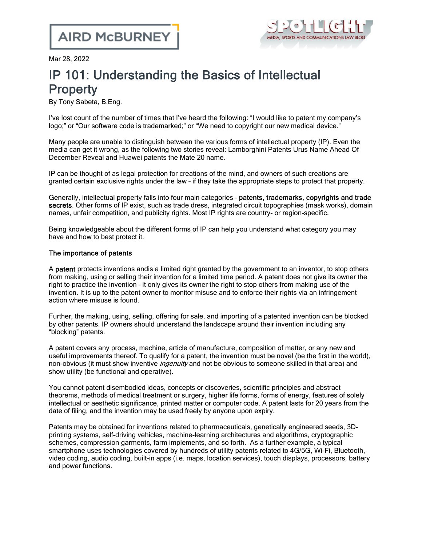

Mar 28, 2022

## IP 101: Understanding the Basics of Intellectual **Property**

By Tony Sabeta, B.Eng.

I've lost count of the number of times that I've heard the following: "I would like to patent my company's logo;" or "Our software code is trademarked;" or "We need to copyright our new medical device."

Many people are unable to distinguish between the various forms of intellectual property (IP). Even the media can get it wrong, as the following two stories reveal: [Lamborghini](https://www.carscoops.com/2017/07/lamborghini-patents-urus-name-ahead-of/) Patents Urus Name Ahead Of [December](https://www.carscoops.com/2017/07/lamborghini-patents-urus-name-ahead-of/) Reveal and [Huawei](https://www.gsmarena.com/huawei_patent_mate_20-news-32155.php) patents the Mate 20 name.

IP can be thought of as legal protection for creations of the mind, and owners of such creations are granted certain exclusive rights under the law – if they take the appropriate steps to protect that property.

Generally, intellectual property falls into four main categories - patents, trademarks, copyrights and trade secrets. Other forms of IP exist, such as trade dress, integrated circuit topographies (mask works), domain names, unfair competition, and publicity rights. Most IP rights are country- or region-specific.

Being knowledgeable about the different forms of IP can help you understand what category you may have and how to best protect it.

## The importance of patents

A patent protects inventions andis a limited right granted by the government to an inventor, to stop others from making, using or selling their invention for a limited time period. A patent does not give its owner the right to practice the invention – it only gives its owner the right to stop others from making use of the invention. It is up to the patent owner to monitor misuse and to enforce their rights via an infringement action where misuse is found.

Further, the making, using, selling, offering for sale, and importing of a patented invention can be blocked by other patents. IP owners should understand the landscape around their invention including any "blocking" patents.

A patent covers any process, machine, article of manufacture, composition of matter, or any new and useful improvements thereof. To qualify for a patent, the invention must be novel (be the first in the world), non-obvious (it must show inventive *ingenuity* and not be obvious to someone skilled in that area) and show utility (be functional and operative).

You cannot patent disembodied ideas, concepts or discoveries, scientific principles and abstract theorems, methods of medical treatment or surgery, higher life forms, forms of energy, features of solely intellectual or aesthetic significance, printed matter or computer code. A patent lasts for 20 years from the date of filing, and the invention may be used freely by anyone upon expiry.

Patents may be obtained for inventions related to pharmaceuticals, genetically engineered seeds, 3Dprinting systems, self-driving vehicles, machine-learning architectures and algorithms, cryptographic schemes, compression garments, farm implements, and so forth. As a further example, a typical smartphone uses technologies covered by hundreds of utility patents related to 4G/5G, Wi-Fi, Bluetooth, video coding, audio coding, built-in apps (i.e. maps, location services), touch displays, processors, battery and power functions.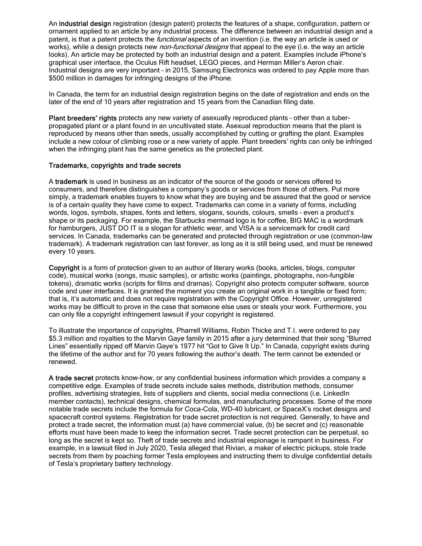An **industrial design** registration (design patent) protects the features of a shape, configuration, pattern or ornament applied to an article by any industrial process. The difference between an industrial design and a patent, is that a patent protects the *functional* aspects of an invention (i.e. the way an article is used or works), while a design protects new *non-functional designs* that appeal to the eye (i.e. the way an article looks). An article may be protected by both an industrial design and a patent. Examples include iPhone's graphical user interface, the Oculus Rift headset, LEGO pieces, and Herman Miller's Aeron chair. Industrial designs are very important – in 2015, Samsung [Electronics](https://www.cbc.ca/news/business/court-agrees-samsung-copied-apple-but-reduces-damage-award-1.3078300) was ordered to pay Apple more than \$500 million in [damages](https://www.cbc.ca/news/business/court-agrees-samsung-copied-apple-but-reduces-damage-award-1.3078300) for infringing designs of the iPhone.

In Canada, the term for an industrial design registration begins on the date of registration and ends on the later of the end of 10 years after registration and 15 years from the Canadian filing date.

Plant breeders' rights protects any new variety of asexually reproduced plants - other than a tuberpropagated plant or a plant found in an uncultivated state. Asexual reproduction means that the plant is reproduced by means other than seeds, usually accomplished by cutting or grafting the plant. Examples include a new colour of climbing rose or a new variety of apple. Plant breeders' rights can only be infringed when the infringing plant has the same genetics as the protected plant.

## Trademarks, copyrights and trade secrets

A trademark is used in business as an indicator of the source of the goods or services offered to consumers, and therefore distinguishes a company's goods or services from those of others. Put more simply, a trademark enables buyers to know what they are buying and be assured that the good or service is of a certain quality they have come to expect. Trademarks can come in a variety of forms, including words, logos, symbols, shapes, fonts and letters, slogans, sounds, colours, smells – even a product's shape or its packaging. For example, the Starbucks mermaid logo is for coffee, BIG MAC is a wordmark for hamburgers, JUST DO IT is a slogan for athletic wear, and VISA is a servicemark for credit card services. In Canada, trademarks can be generated and protected through registration or use (common-law trademark). A trademark registration can last forever, as long as it is still being used, and must be renewed every 10 years.

Copyright is a form of protection given to an author of literary works (books, articles, blogs, computer code), musical works (songs, music samples), or artistic works (paintings, photographs, non-fungible tokens), dramatic works (scripts for films and dramas). Copyright also protects computer software, source code and user interfaces. It is granted the moment you create an original work in a tangible or fixed form; that is, it's automatic and does not require registration with the Copyright Office. However, unregistered works may be difficult to prove in the case that someone else uses or steals your work. Furthermore, you can only file a copyright infringement lawsuit if your copyright is registered.

To illustrate the importance of copyrights, Pharrell [Williams,](https://www.reuters.com/article/us-music-blurredlines-idUSKBN1GX27P) Robin Thicke and T.I. were ordered to pay \$5.3 million and [royalties](https://www.reuters.com/article/us-music-blurredlines-idUSKBN1GX27P) to the Marvin Gaye family in 2015 after a jury determined that their song "Blurred Lines" essentially ripped off Marvin Gaye's 1977 hit "Got to Give It Up." In Canada, copyright exists during the lifetime of the author and for 70 years following the author's death. The term cannot be extended or renewed.

A trade secret protects know-how, or any confidential business information which provides a company a competitive edge. Examples of trade secrets include sales methods, distribution methods, consumer profiles, advertising strategies, lists of suppliers and clients, social media connections (i.e. LinkedIn member contacts), technical designs, chemical formulas, and manufacturing processes. Some of the more notable trade secrets include the formula for Coca-Cola, WD-40 lubricant, or SpaceX's rocket designs and spacecraft control systems. Registration for trade secret protection is not required. Generally, to have and protect a trade secret, the information must (a) have commercial value, (b) be secret and (c) reasonable efforts must have been made to keep the information secret. Trade secret protection can be perpetual, so long as the secret is kept so. Theft of trade secrets and industrial espionage is rampant in business. For example, in a [lawsuit](https://electrek.co/2021/10/04/tesla-claims-rivian-stealing-trade-secrets-about-next-gen-battery-lawsuit/) filed in July 2020, Tesla alleged that Rivian, a maker of electric pickups, stole trade secrets from them by poaching former Tesla employees and instructing them to divulge confidential details of Tesla's proprietary battery technology.